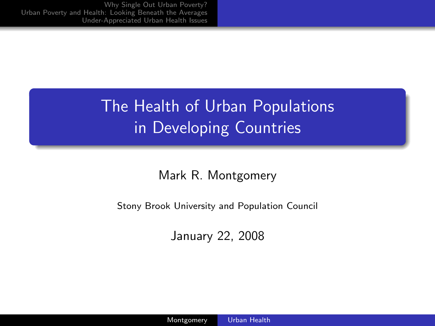# The Health of Urban Populations in Developing Countries

#### Mark R. Montgomery

Stony Brook University and Population Council

<span id="page-0-0"></span>January 22, 2008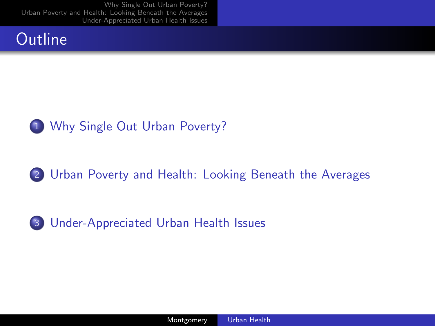### **Outline**



#### 2 [Urban Poverty and Health: Looking Beneath the Averages](#page-7-0)



3 [Under-Appreciated Urban Health Issues](#page-20-0)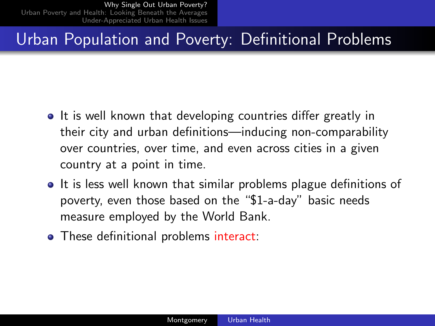#### Urban Population and Poverty: Definitional Problems

- It is well known that developing countries differ greatly in their city and urban definitions—inducing non-comparability over countries, over time, and even across cities in a given country at a point in time.
- It is less well known that similar problems plague definitions of poverty, even those based on the "\$1-a-day" basic needs measure employed by the World Bank.
- <span id="page-2-0"></span>• These definitional problems interact: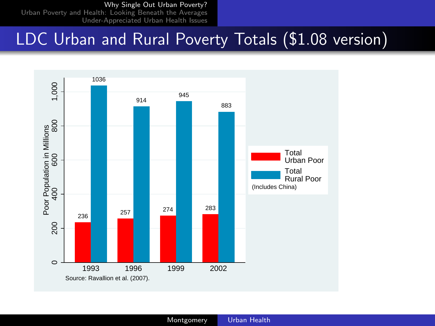#### [Why Single Out Urban Poverty?](#page-2-0)

[Urban Poverty and Health: Looking Beneath the Averages](#page-7-0) [Under-Appreciated Urban Health Issues](#page-20-0)

# LDC Urban and Rural Poverty Totals (\$1.08 version)

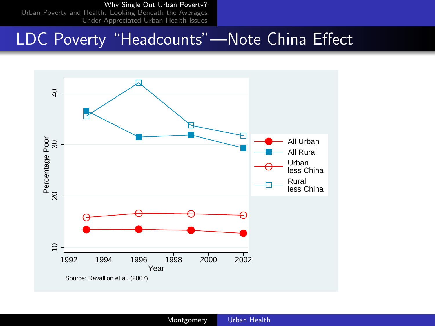#### [Why Single Out Urban Poverty?](#page-2-0)

[Urban Poverty and Health: Looking Beneath the Averages](#page-7-0) [Under-Appreciated Urban Health Issues](#page-20-0)

#### LDC Poverty "Headcounts"—Note China Effect

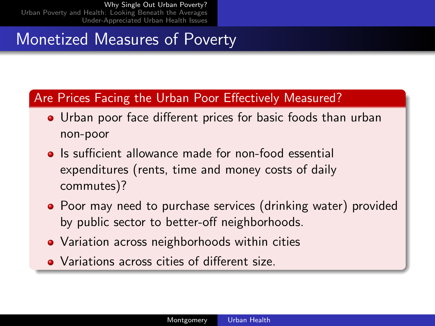### Monetized Measures of Poverty

#### Are Prices Facing the Urban Poor Effectively Measured?

- Urban poor face different prices for basic foods than urban non-poor
- **•** Is sufficient allowance made for non-food essential expenditures (rents, time and money costs of daily commutes)?
- Poor may need to purchase services (drinking water) provided by public sector to better-off neighborhoods.
- Variation across neighborhoods within cities
- Variations across cities of different size.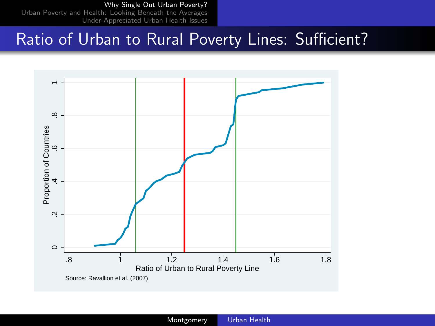[Why Single Out Urban Poverty?](#page-2-0)

[Urban Poverty and Health: Looking Beneath the Averages](#page-7-0) [Under-Appreciated Urban Health Issues](#page-20-0)

#### Ratio of Urban to Rural Poverty Lines: Sufficient?

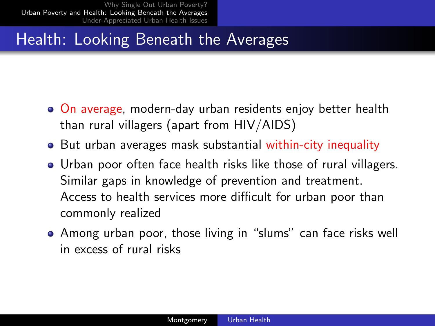## Health: Looking Beneath the Averages

- On average, modern-day urban residents enjoy better health than rural villagers (apart from HIV/AIDS)
- But urban averages mask substantial within-city inequality
- Urban poor often face health risks like those of rural villagers. Similar gaps in knowledge of prevention and treatment. Access to health services more difficult for urban poor than commonly realized
- <span id="page-7-0"></span>Among urban poor, those living in "slums" can face risks well in excess of rural risks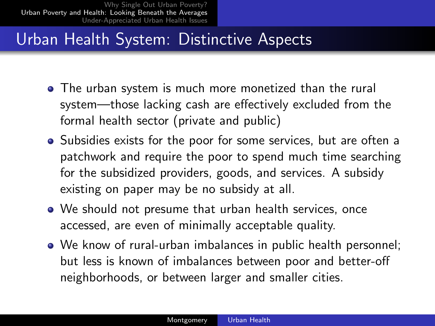### Urban Health System: Distinctive Aspects

- The urban system is much more monetized than the rural system—those lacking cash are effectively excluded from the formal health sector (private and public)
- Subsidies exists for the poor for some services, but are often a patchwork and require the poor to spend much time searching for the subsidized providers, goods, and services. A subsidy existing on paper may be no subsidy at all.
- We should not presume that urban health services, once accessed, are even of minimally acceptable quality.
- We know of rural-urban imbalances in public health personnel; but less is known of imbalances between poor and better-off neighborhoods, or between larger and smaller cities.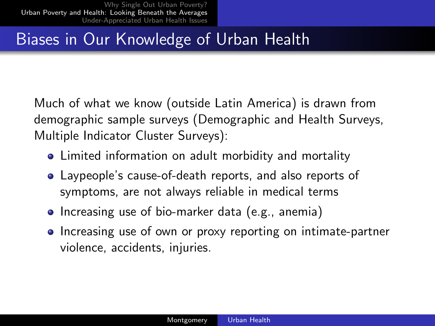# Biases in Our Knowledge of Urban Health

Much of what we know (outside Latin America) is drawn from demographic sample surveys (Demographic and Health Surveys, Multiple Indicator Cluster Surveys):

- Limited information on adult morbidity and mortality
- Laypeople's cause-of-death reports, and also reports of symptoms, are not always reliable in medical terms
- Increasing use of bio-marker data (e.g., anemia)
- Increasing use of own or proxy reporting on intimate-partner violence, accidents, injuries.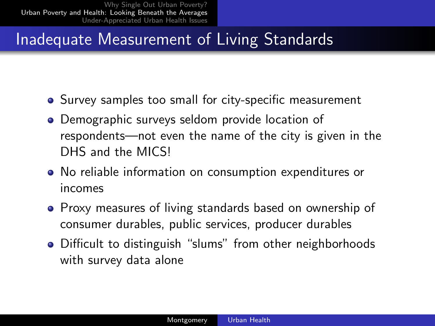## Inadequate Measurement of Living Standards

- Survey samples too small for city-specific measurement
- Demographic surveys seldom provide location of respondents—not even the name of the city is given in the DHS and the MICS!
- No reliable information on consumption expenditures or incomes
- Proxy measures of living standards based on ownership of consumer durables, public services, producer durables
- Difficult to distinguish "slums" from other neighborhoods with survey data alone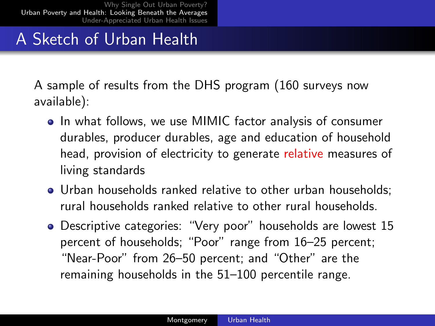# A Sketch of Urban Health

A sample of results from the DHS program (160 surveys now available):

- In what follows, we use MIMIC factor analysis of consumer durables, producer durables, age and education of household head, provision of electricity to generate relative measures of living standards
- Urban households ranked relative to other urban households; rural households ranked relative to other rural households.
- Descriptive categories: "Very poor" households are lowest 15 percent of households; "Poor" range from 16–25 percent; "Near-Poor" from 26–50 percent; and "Other" are the remaining households in the 51–100 percentile range.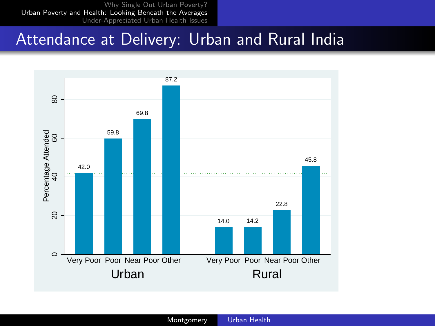#### Attendance at Delivery: Urban and Rural India

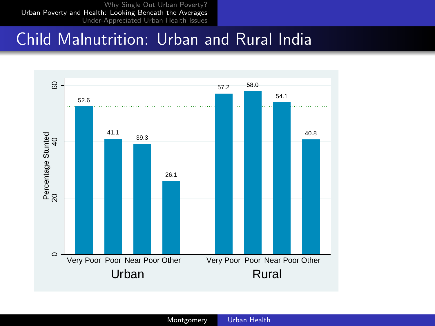#### Child Malnutrition: Urban and Rural India

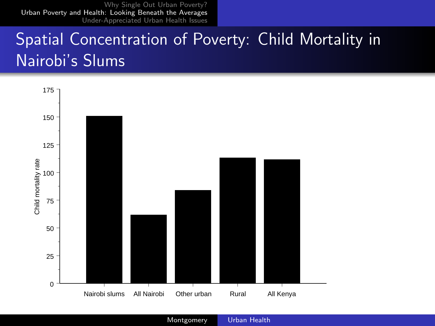# Spatial Concentration of Poverty: Child Mortality in Nairobi's Slums



Montgomery [Urban Health](#page-0-0)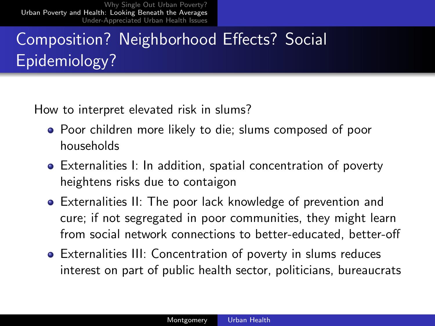# Composition? Neighborhood Effects? Social Epidemiology?

How to interpret elevated risk in slums?

- Poor children more likely to die; slums composed of poor households
- Externalities I: In addition, spatial concentration of poverty heightens risks due to contaigon
- Externalities II: The poor lack knowledge of prevention and cure; if not segregated in poor communities, they might learn from social network connections to better-educated, better-off
- Externalities III: Concentration of poverty in slums reduces interest on part of public health sector, politicians, bureaucrats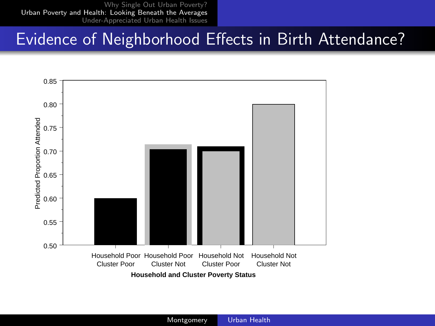#### Evidence of Neighborhood Effects in Birth Attendance?

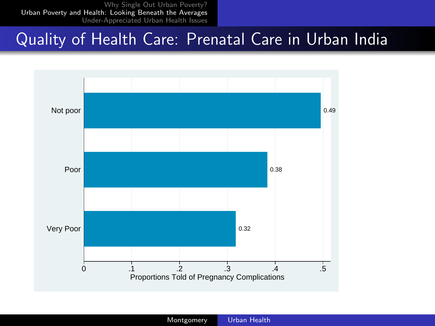#### Quality of Health Care: Prenatal Care in Urban India

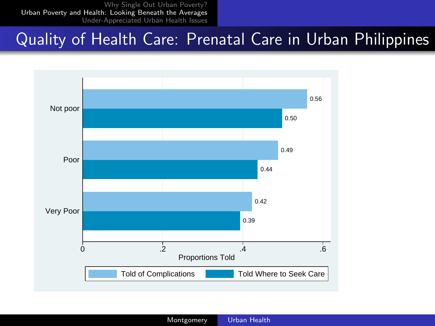#### Quality of Health Care: Prenatal Care in Urban Philippines

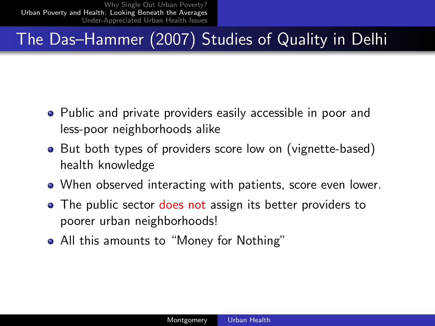# The Das–Hammer (2007) Studies of Quality in Delhi

- Public and private providers easily accessible in poor and less-poor neighborhoods alike
- But both types of providers score low on (vignette-based) health knowledge
- When observed interacting with patients, score even lower.
- The public sector does not assign its better providers to poorer urban neighborhoods!
- All this amounts to "Money for Nothing"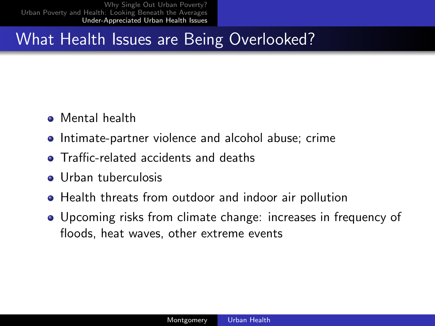## What Health Issues are Being Overlooked?

- Mental health
- Intimate-partner violence and alcohol abuse; crime
- **•** Traffic-related accidents and deaths
- **o** Urban tuberculosis
- Health threats from outdoor and indoor air pollution
- <span id="page-20-0"></span>Upcoming risks from climate change: increases in frequency of floods, heat waves, other extreme events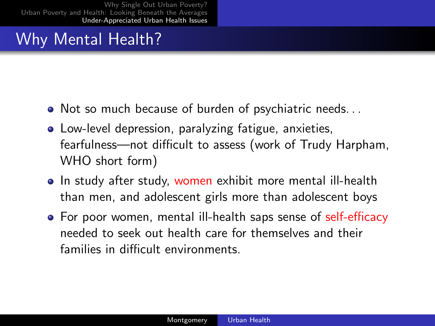# Why Mental Health?

- Not so much because of burden of psychiatric needs. . .
- Low-level depression, paralyzing fatigue, anxieties, fearfulness—not difficult to assess (work of Trudy Harpham, WHO short form)
- In study after study, women exhibit more mental ill-health than men, and adolescent girls more than adolescent boys
- For poor women, mental ill-health saps sense of self-efficacy needed to seek out health care for themselves and their families in difficult environments.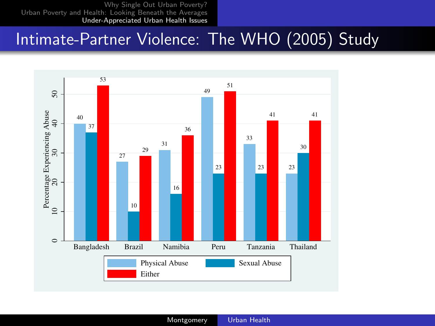#### Intimate-Partner Violence: The WHO (2005) Study

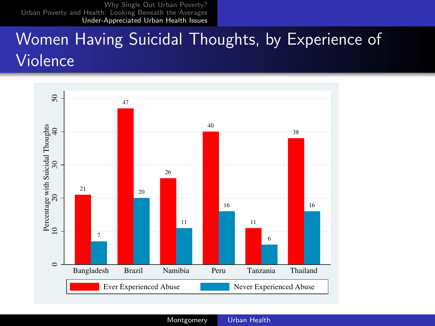# Women Having Suicidal Thoughts, by Experience of Violence



Montgomery [Urban Health](#page-0-0)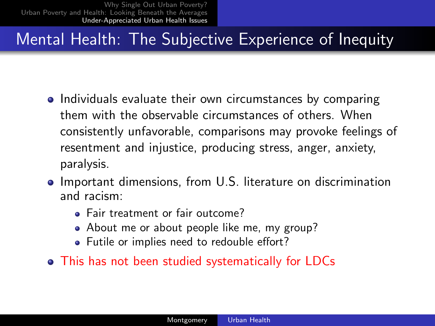# Mental Health: The Subjective Experience of Inequity

- Individuals evaluate their own circumstances by comparing them with the observable circumstances of others. When consistently unfavorable, comparisons may provoke feelings of resentment and injustice, producing stress, anger, anxiety, paralysis.
- **•** Important dimensions, from U.S. literature on discrimination and racism:
	- Fair treatment or fair outcome?
	- About me or about people like me, my group?
	- **•** Futile or implies need to redouble effort?
- This has not been studied systematically for LDCs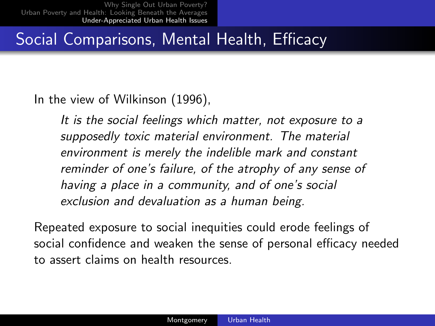## Social Comparisons, Mental Health, Efficacy

In the view of Wilkinson (1996),

It is the social feelings which matter, not exposure to a supposedly toxic material environment. The material environment is merely the indelible mark and constant reminder of one's failure, of the atrophy of any sense of having a place in a community, and of one's social exclusion and devaluation as a human being.

Repeated exposure to social inequities could erode feelings of social confidence and weaken the sense of personal efficacy needed to assert claims on health resources.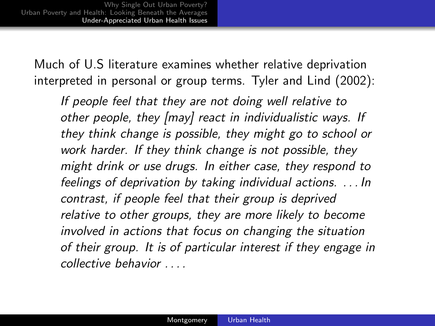Much of U.S literature examines whether relative deprivation interpreted in personal or group terms. Tyler and Lind (2002):

If people feel that they are not doing well relative to other people, they [may] react in individualistic ways. If they think change is possible, they might go to school or work harder. If they think change is not possible, they might drink or use drugs. In either case, they respond to feelings of deprivation by taking individual actions. . . . In contrast, if people feel that their group is deprived relative to other groups, they are more likely to become involved in actions that focus on changing the situation of their group. It is of particular interest if they engage in collective behavior . . . .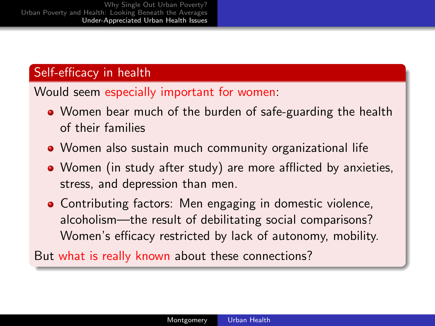#### Self-efficacy in health

#### Would seem especially important for women:

- Women bear much of the burden of safe-guarding the health of their families
- Women also sustain much community organizational life
- Women (in study after study) are more afflicted by anxieties, stress, and depression than men.
- Contributing factors: Men engaging in domestic violence, alcoholism—the result of debilitating social comparisons? Women's efficacy restricted by lack of autonomy, mobility.

But what is really known about these connections?